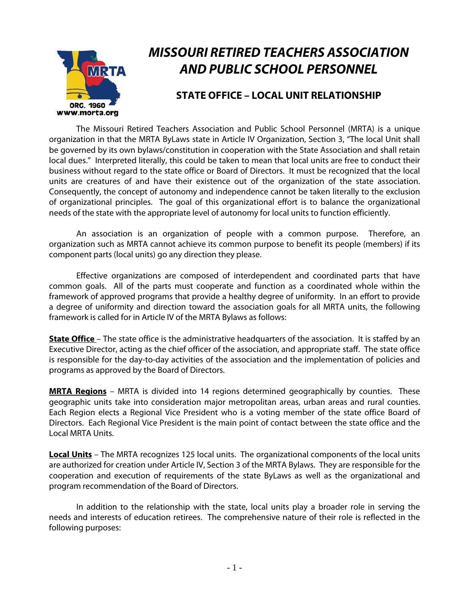

# **MISSOURI RETIRED TEACHERS ASSOCIATION AND PUBLIC SCHOOL PERSONNEL**

### **STATE OFFICE – LOCAL UNIT RELATIONSHIP**

 The Missouri Retired Teachers Association and Public School Personnel (MRTA) is a unique organization in that the MRTA ByLaws state in Article IV Organization, Section 3, "The local Unit shall be governed by its own bylaws/constitution in cooperation with the State Association and shall retain local dues." Interpreted literally, this could be taken to mean that local units are free to conduct their business without regard to the state office or Board of Directors. It must be recognized that the local units are creatures of and have their existence out of the organization of the state association. Consequently, the concept of autonomy and independence cannot be taken literally to the exclusion of organizational principles. The goal of this organizational effort is to balance the organizational needs of the state with the appropriate level of autonomy for local units to function efficiently.

 An association is an organization of people with a common purpose. Therefore, an organization such as MRTA cannot achieve its common purpose to benefit its people (members) if its component parts (local units) go any direction they please.

 Effective organizations are composed of interdependent and coordinated parts that have common goals. All of the parts must cooperate and function as a coordinated whole within the framework of approved programs that provide a healthy degree of uniformity. In an effort to provide a degree of uniformity and direction toward the association goals for all MRTA units, the following framework is called for in Article IV of the MRTA Bylaws as follows:

**State Office** – The state office is the administrative headquarters of the association. It is staffed by an Executive Director, acting as the chief officer of the association, and appropriate staff. The state office is responsible for the day-to-day activities of the association and the implementation of policies and programs as approved by the Board of Directors.

**MRTA Regions** – MRTA is divided into 14 regions determined geographically by counties. These geographic units take into consideration major metropolitan areas, urban areas and rural counties. Each Region elects a Regional Vice President who is a voting member of the state office Board of Directors. Each Regional Vice President is the main point of contact between the state office and the Local MRTA Units.

**Local Units** – The MRTA recognizes 125 local units. The organizational components of the local units are authorized for creation under Article IV, Section 3 of the MRTA Bylaws. They are responsible for the cooperation and execution of requirements of the state ByLaws as well as the organizational and program recommendation of the Board of Directors.

 In addition to the relationship with the state, local units play a broader role in serving the needs and interests of education retirees. The comprehensive nature of their role is reflected in the following purposes: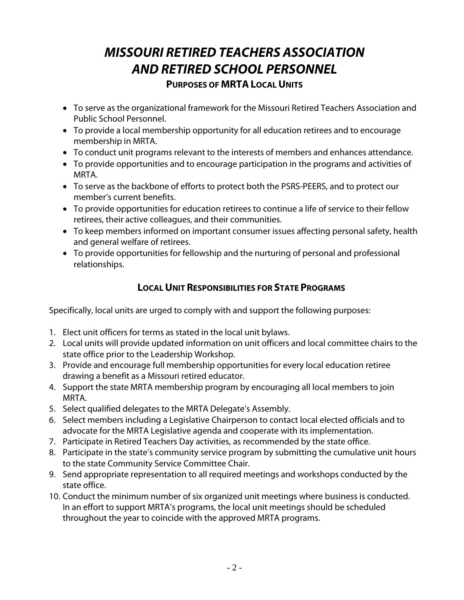## **MISSOURI RETIRED TEACHERS ASSOCIATION AND RETIRED SCHOOL PERSONNEL PURPOSES OF MRTA LOCAL UNITS**

- To serve as the organizational framework for the Missouri Retired Teachers Association and Public School Personnel.
- To provide a local membership opportunity for all education retirees and to encourage membership in MRTA.
- To conduct unit programs relevant to the interests of members and enhances attendance.
- To provide opportunities and to encourage participation in the programs and activities of MRTA.
- To serve as the backbone of efforts to protect both the PSRS-PEERS, and to protect our member's current benefits.
- To provide opportunities for education retirees to continue a life of service to their fellow retirees, their active colleagues, and their communities.
- To keep members informed on important consumer issues affecting personal safety, health and general welfare of retirees.
- To provide opportunities for fellowship and the nurturing of personal and professional relationships.

### **LOCAL UNIT RESPONSIBILITIES FOR STATE PROGRAMS**

Specifically, local units are urged to comply with and support the following purposes:

- 1. Elect unit officers for terms as stated in the local unit bylaws.
- 2. Local units will provide updated information on unit officers and local committee chairs to the state office prior to the Leadership Workshop.
- 3. Provide and encourage full membership opportunities for every local education retiree drawing a benefit as a Missouri retired educator.
- 4. Support the state MRTA membership program by encouraging all local members to join MRTA.
- 5. Select qualified delegates to the MRTA Delegate's Assembly.
- 6. Select members including a Legislative Chairperson to contact local elected officials and to advocate for the MRTA Legislative agenda and cooperate with its implementation.
- 7. Participate in Retired Teachers Day activities, as recommended by the state office.
- 8. Participate in the state's community service program by submitting the cumulative unit hours to the state Community Service Committee Chair.
- 9. Send appropriate representation to all required meetings and workshops conducted by the state office.
- 10. Conduct the minimum number of six organized unit meetings where business is conducted. In an effort to support MRTA's programs, the local unit meetings should be scheduled throughout the year to coincide with the approved MRTA programs.